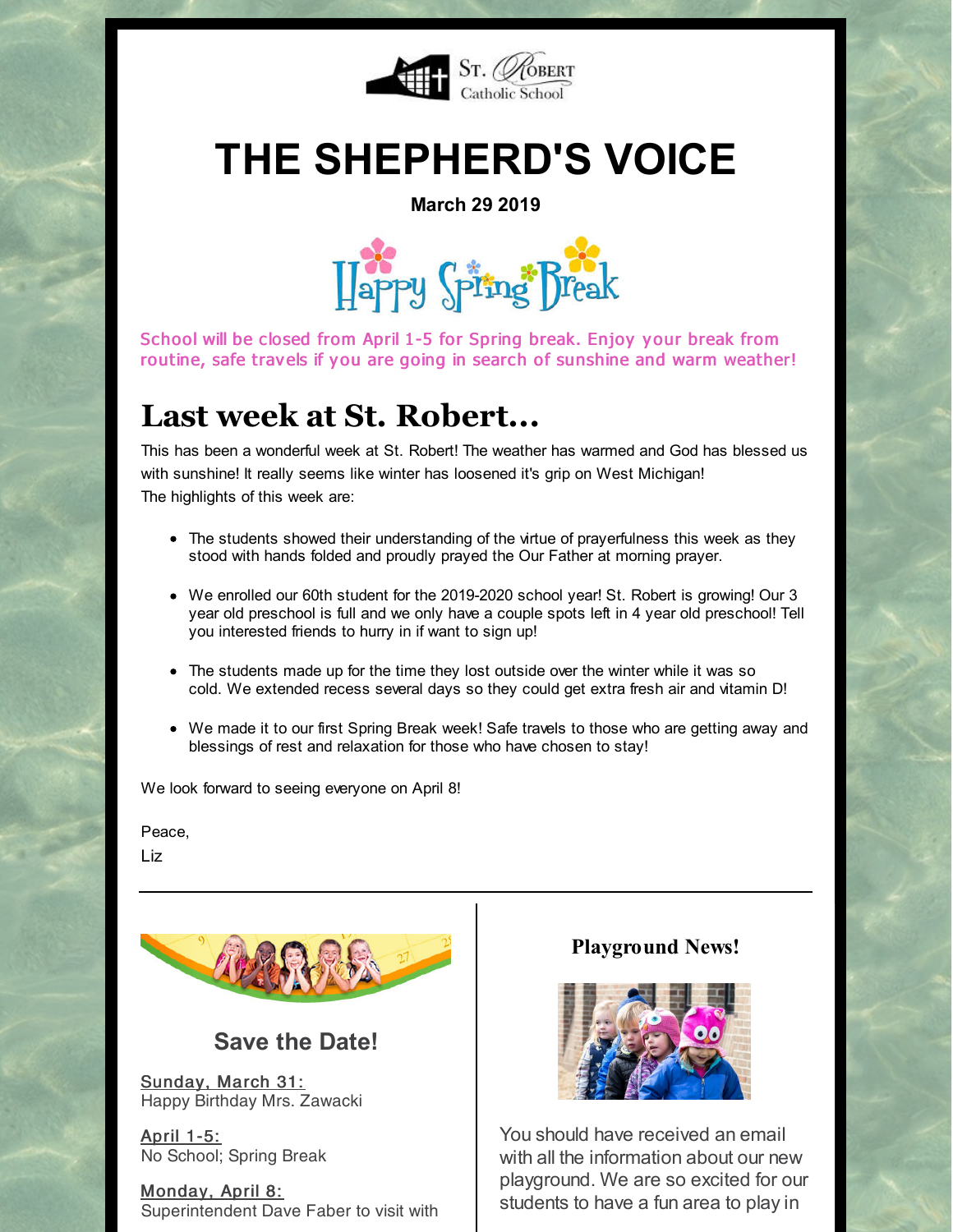

# **THE SHEPHERD'S VOICE**

**March 29 2019**



School will be closed from April 1-5 for Spring break. Enjoy your break from routine, safe travels if you are going in search of sunshine and warm weather!

### **Last week at St. Robert...**

This has been a wonderful week at St. Robert! The weather has warmed and God has blessed us with sunshine! It really seems like winter has loosened it's grip on West Michigan! The highlights of this week are:

- The students showed their understanding of the virtue of prayerfulness this week as they stood with hands folded and proudly prayed the Our Father at morning prayer.
- We enrolled our 60th student for the 2019-2020 school year! St. Robert is growing! Our 3 year old preschool is full and we only have a couple spots left in 4 year old preschool! Tell you interested friends to hurry in if want to sign up!
- The students made up for the time they lost outside over the winter while it was so cold. We extended recess several days so they could get extra fresh air and vitamin D!
- We made it to our first Spring Break week! Safe travels to those who are getting away and blessings of rest and relaxation for those who have chosen to stay!

We look forward to seeing everyone on April 8!

Peace,

Liz



### **Save the Date!**

Sunday, March 31: Happy Birthday Mrs. Zawacki

April 1-5: No School; Spring Break

Monday, April 8: Superintendent Dave Faber to visit with

#### **Playground News!**



You should have received an email with all the information about our new playground. We are so excited for our students to have a fun area to play in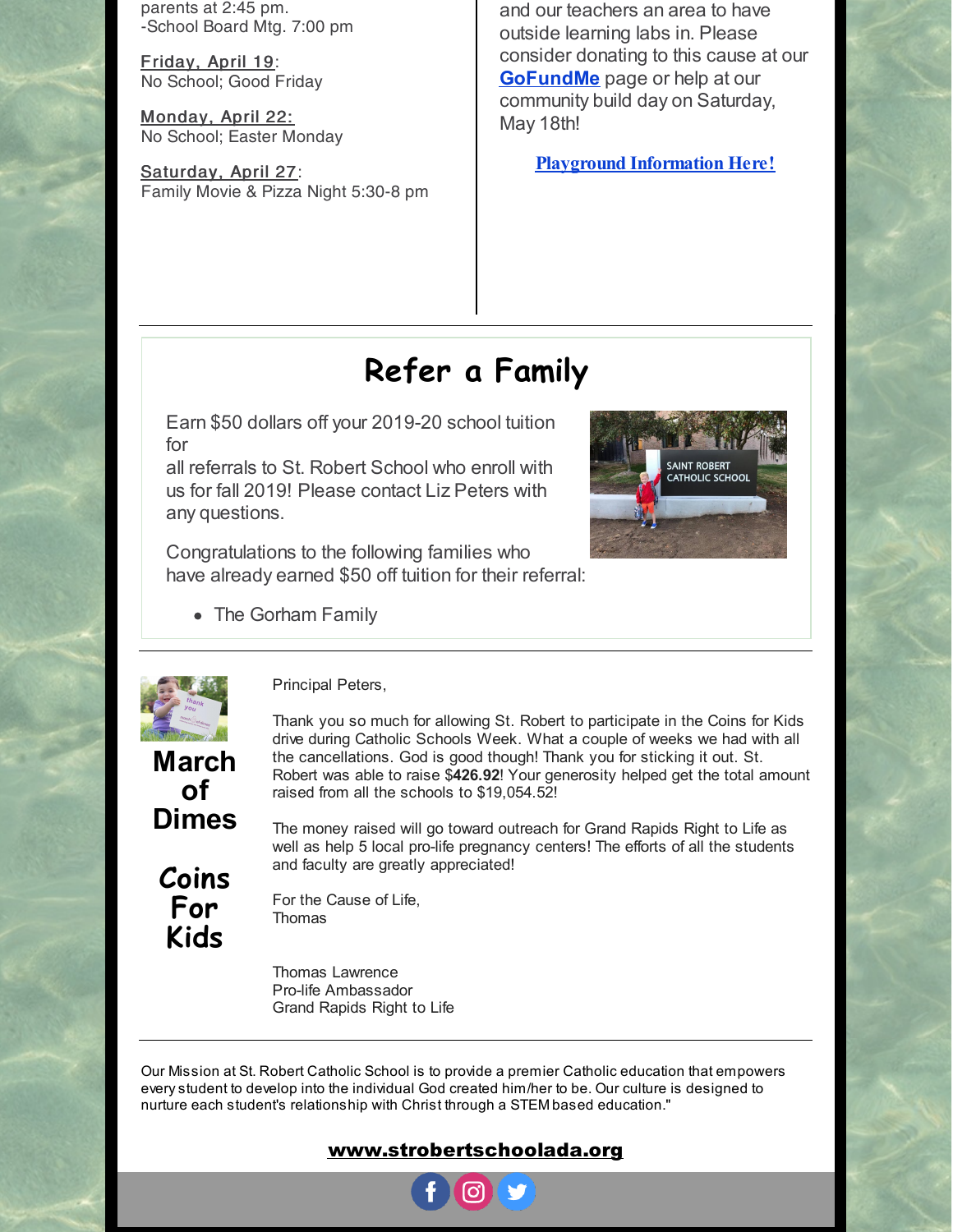parents at 2:45 pm. -School Board Mtg. 7:00 pm

Friday, April 19: No School; Good Friday

Monday, April 22: No School; Easter Monday

Saturday, April 27: Family Movie & Pizza Night 5:30-8 pm

and our teachers an area to have outside learning labs in. Please consider donating to this cause at our **[GoFundMe](https://www.gofundme.com/st-robert-playground-project-phase-1)** page or help at our community build day on Saturday, May 18th!

**Playground [Information](https://files.constantcontact.com/d6018a1b201/a6a8c923-c99b-4996-b587-7bdb94eed7a9.pdf) Here!**

## **Refer a Family**

Earn \$50 dollars off your 2019-20 school tuition for

all referrals to St. Robert School who enroll with us for fall 2019! Please contact Liz Peters with any questions.

Congratulations to the following families who have already earned \$50 off tuition for their referral:

• The Gorham Family





**of**

**Coins For Kids**

Principal Peters,

**March Dimes** Thank you so much for allowing St. Robert to participate in the Coins for Kids drive during Catholic Schools Week. What a couple of weeks we had with all the cancellations. God is good though! Thank you for sticking it out. St. Robert was able to raise \$**426.92**! Your generosity helped get the total amount raised from all the schools to \$19,054.52!

The money raised will go toward outreach for Grand Rapids Right to Life as well as help 5 local pro-life pregnancy centers! The efforts of all the students and faculty are greatly appreciated!

For the Cause of Life, **Thomas** 

Thomas Lawrence Pro-life Ambassador Grand Rapids Right to Life

Our Mission at St. Robert Catholic School is to provide a premier Catholic education that empowers everystudent to develop into the individual God created him/her to be. Our culture is designed to nurture each student's relationship with Christ through a STEM based education."

#### [www.strobertschoolada.org](http://strobertschoolada.org)